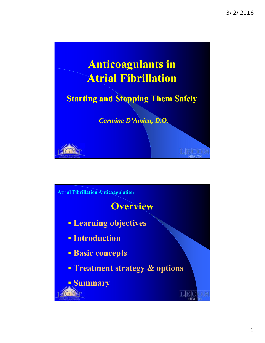

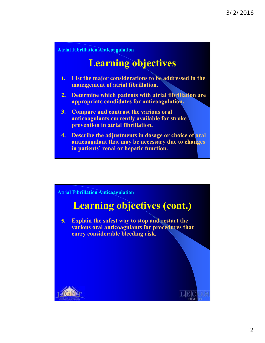# **Learning objectives**

- **1. List the major considerations to be addressed in the management of atrial fibrillation.**
- **2. Determine which patients with atrial fibrillation are appropriate candidates for anticoagulation.**
- **3. Compare and contrast the various oral anticoagulants currently available for stroke prevention in atrial fibrillation.**
- **4. Describe the adjustments in dosage or choice of oral anticoagulant that may be necessary due to changes in patients' renal or hepatic function.**

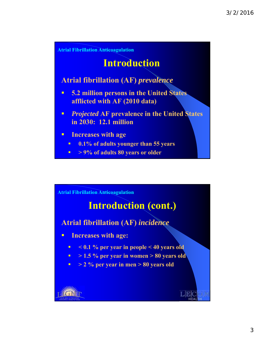

# **Introduction**

### **Atrial fibrillation (AF)** *prevalence*

- **5.2 million persons in the United States afflicted with AF (2010 data)**
- *Projected* **AF prevalence in the United States in 2030: 12.1 million**
- **Increases with age**
	- **0.1% of adults younger than 55 years**
	- $\sim$  **50% of adults 80 years or older**

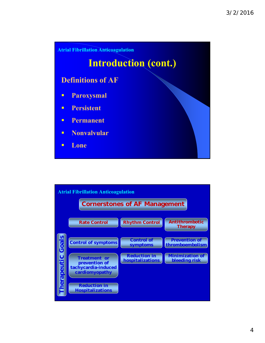

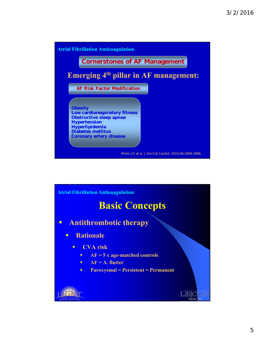

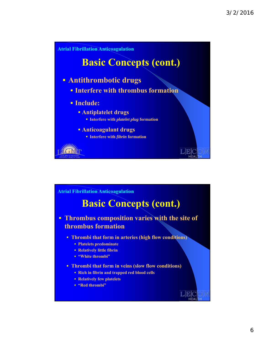

# **Basic Concepts (cont.)**

- **Thrombus composition varies with the site of thrombus formation**
	- **Thrombi that form in arteries (high flow conditions)**
		- **Platelets predominate**
		- **Relatively little fibrin**
		- **"White thrombi"**
	- **Thrombi that form in veins (slow flow conditions)**
		- **Rich in fibrin and trapped red blood cells**
		- **Relatively few platelets**
		- **"Red thrombi"**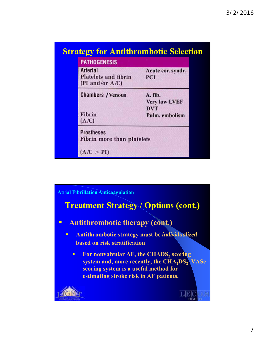| <b>PATHOGENESIS</b>                                                  |                                                                 |
|----------------------------------------------------------------------|-----------------------------------------------------------------|
| <b>Arterial</b><br><b>Platelets and fibrin</b><br>(PI and/or $A/C$ ) | Acute cor. syndr.<br>PCI                                        |
| <b>Chambers / Venous</b><br>Fibrin<br>(A/C)                          | A. fib.<br><b>Very low LVEF</b><br><b>DVT</b><br>Pulm. embolism |
| <b>Prostheses</b><br>Fibrin more than platelets<br>(A/C > PI)        |                                                                 |

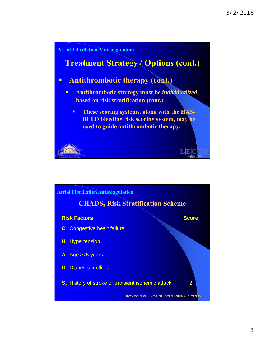

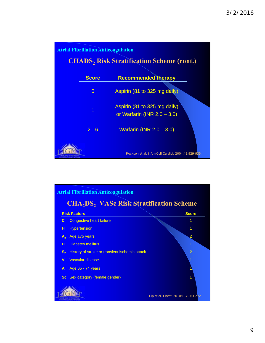

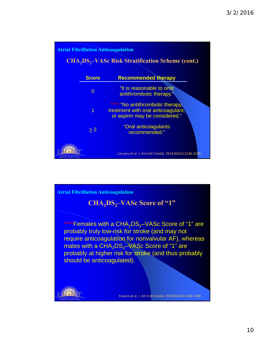

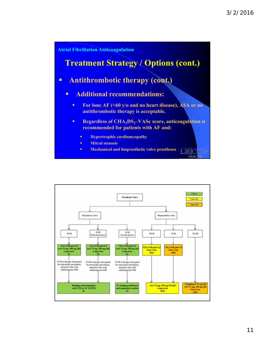

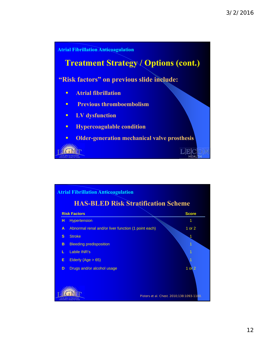



12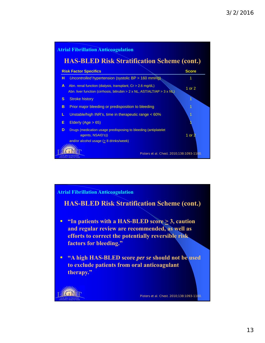

**HAS-BLED Risk Stratification Scheme (cont.)**

- **"** "In patients with a HAS-BLED score  $\geq$  3, caution **and regular review are recommended, as well as efforts to correct the potentially reversible risk factors for bleeding."**
- **"A high HAS-BLED score** *per se* **should not be used to exclude patients from oral anticoagulant therapy."**

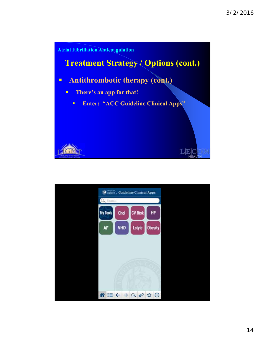

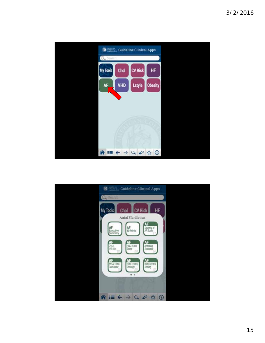

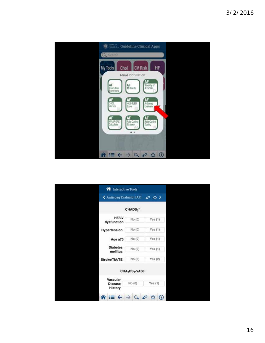

| nteractive Tools                             |                                        |                      |
|----------------------------------------------|----------------------------------------|----------------------|
| < Anticoag Evaluator [AF]                    |                                        | $\oslash$ $\lozenge$ |
|                                              | CHADS <sub>2</sub> *                   |                      |
| <b>HF/LV</b><br>dysfunction                  | No (0)                                 | Yes (1)              |
| Hypertension                                 | No (0)                                 | Yes(1)               |
| Age $\geq 75$                                | No (0)                                 | Yes(1)               |
| <b>Diabetes</b><br>mellitus                  | No (0)                                 | Yes $(1)$            |
| Stroke/TIA/TE                                | No (0)                                 | Yes $(2)$            |
|                                              | CHA <sub>2</sub> DS <sub>2</sub> -VASc |                      |
| Vascular<br><b>Disease</b><br><b>History</b> | No (0)                                 | Yes(1)               |
|                                              |                                        | ⋒                    |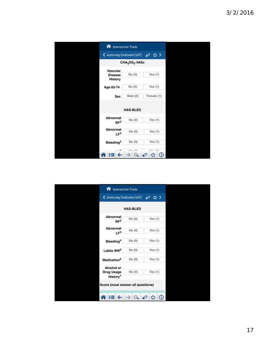| nteractive Tools            |                                        |                                    |
|-----------------------------|----------------------------------------|------------------------------------|
| < Anticoag Evaluator [AF]   |                                        | $\oslash$ $\lozenge$ $\rightarrow$ |
|                             | CHA <sub>2</sub> DS <sub>2</sub> -VASc |                                    |
| Vascular                    |                                        |                                    |
| <b>Disease</b>              | No (0)                                 | Yes $(1)$                          |
| <b>History</b>              |                                        |                                    |
| Age 65-74                   | No (0)                                 | Yes $(1)$                          |
| Sex                         | Male (0)                               | Female (1)                         |
|                             | <b>HAS-BLED</b>                        |                                    |
| Abnormal<br>RF <sup>2</sup> | No (0)                                 | Yes $(1)$                          |
| Abnormal<br>LF <sup>3</sup> | No (0)                                 | Yes(1)                             |
| Bleeding <sup>4</sup>       | No (0)                                 | Yes $(1)$                          |
|                             | $k \nmid n$ data                       | $M_{max}$ 643<br>⋒                 |

|                                           | < Anticoag Evaluator [AF] | ◎☆>       |
|-------------------------------------------|---------------------------|-----------|
|                                           | <b>HAS-BLED</b>           |           |
| Abnormal<br>RF <sup>2</sup>               | No (0)                    | Yes(1)    |
| Abnormal<br>LF <sup>3</sup>               | No (0)                    | Yes(1)    |
| Bleeding <sup>4</sup>                     | No(0)                     | Yes $(1)$ |
| Labile INR5                               | No(0)                     | Yes $(1)$ |
| Medication <sup>6</sup>                   | No (0)                    | Yes $(1)$ |
| Alcohol or                                |                           |           |
| <b>Drug Usage</b><br>History <sup>7</sup> | No(0)                     | Yes(1)    |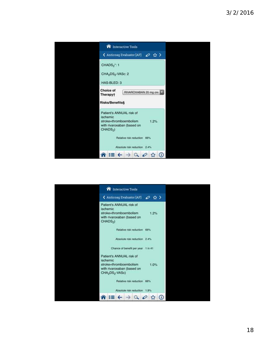

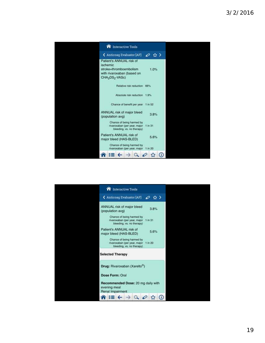

| nteractive Tools                                                                               |   |         |  |  |
|------------------------------------------------------------------------------------------------|---|---------|--|--|
| < Anticoag Evaluator [AF]                                                                      | ℴ | - 12∶ > |  |  |
| ANNUAL risk of major bleed<br>(population avg)                                                 |   | 3.8%    |  |  |
| Chance of being harmed by<br>rivaroxaban (per year, major 1 in 31<br>bleeding, vs. no therapy) |   |         |  |  |
| Patient's ANNUAL risk of<br>major bleed (HAS-BLED)                                             |   | 5.6%    |  |  |
| Chance of being harmed by<br>rivaroxaban (per year, major 1 in 20<br>bleeding, vs. no therapy) |   |         |  |  |
| <b>Selected Therapy</b>                                                                        |   |         |  |  |
| Drug: Rivaroxaban (Xarelto®)                                                                   |   |         |  |  |
| Dose Form: Oral                                                                                |   |         |  |  |
| Recommended Dose: 20 mg daily with<br>evening meal<br>Renal Impairment                         |   |         |  |  |
|                                                                                                |   |         |  |  |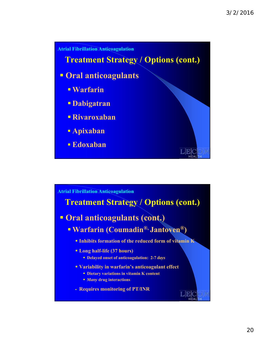

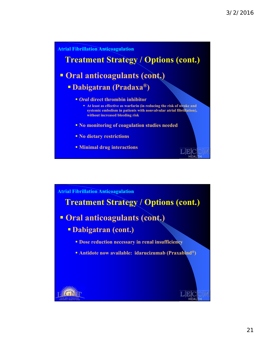

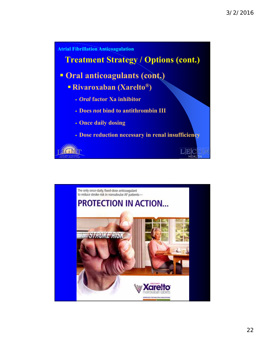

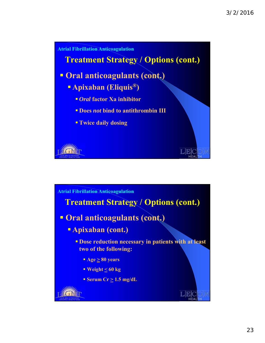

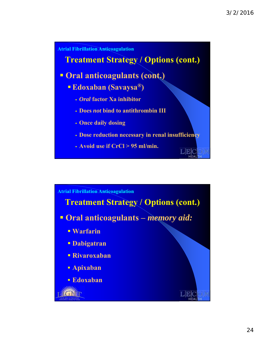

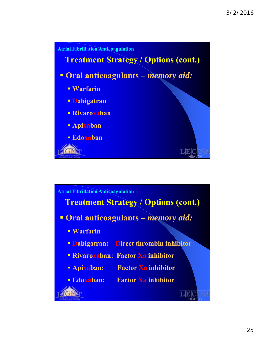

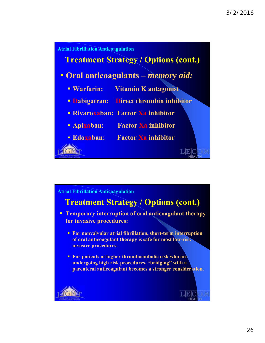

### **Treatment Strategy / Options (cont.)**

- **Temporary interruption of oral anticoagulant therapy for invasive procedures:** 
	- **For nonvalvular atrial fibrillation, short-term interruption of oral anticoagulant therapy is safe for most low-risk invasive procedures.**
	- **For patients at higher thromboembolic risk who are undergoing high risk procedures, "bridging" with a parenteral anticoagulant becomes a stronger consideration.**

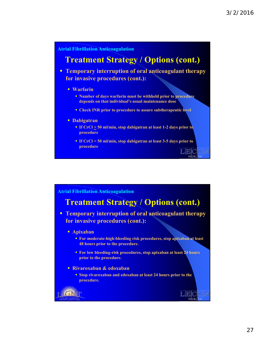### **Treatment Strategy / Options (cont.)**

**Temporary interruption of oral anticoagulant therapy for invasive procedures (cont.):** 

- **Warfarin**
	- **Number of days warfarin must be withheld prior to procedure depends on that individual's usual maintenance dose**
	- **Check INR prior to procedure to assure subtherapeutic level**
- **Dabigatran**
	- **If CrCl > 50 ml/min, stop dabigatran at least 1-2 days prior to procedure**
	- **If CrCl < 50 ml/min, stop dabigatran at least 3-5 days prior to procedure**

#### **Atrial Fibrillation Anticoagulation**

### **Treatment Strategy / Options (cont.)**

 **Temporary interruption of oral anticoagulant therapy for invasive procedures (cont.):** 

#### **Apixaban**

- **For moderate-high-bleeding risk procedures, stop apixaban at least 48 hours prior to the procedure.**
- **For low bleeding-risk procedures, stop apixaban at least 24 hours prior to the procedure.**
- **Rivaroxaban & edoxaban**
	- **Stop rivaroxaban and edoxaban at least 24 hours prior to the procedure.**

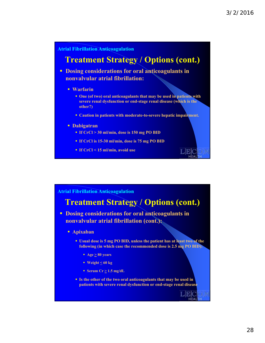### **Treatment Strategy / Options (cont.)**

**P** Dosing considerations for oral anticoagulants in **nonvalvular atrial fibrillation:** 

- **Warfarin**
	- **One (of two) oral anticoagulants that may be used in patients with severe renal dysfunction or end-stage renal disease (which is the other?)**
	- **Caution in patients with moderate-to-severe hepatic impairment.**

#### **Dabigatran**

- **If CrCl > 30 ml/min, dose is 150 mg PO BID**
- **If CrCl is 15-30 ml/min, dose is 75 mg PO BID**
- **If CrCl < 15 ml/min, avoid use**

#### **Atrial Fibrillation Anticoagulation**

### **Treatment Strategy / Options (cont.)**

**- Dosing considerations for oral anticoagulants in nonvalvular atrial fibrillation (cont.):** 

#### **Apixaban**

- **Usual dose is 5 mg PO BID, unless the patient has at least two of the following (in which case the recommended dose is 2.5 mg PO BID):**
	- **Age**  $\geq 80$  years
	- **Weight < 60 kg**
	- **Serum Cr**  $\geq 1.5$  **mg/dL**
- **Is the other of the two oral anticoagulants that may be used in patients with severe renal dysfunction or end-stage renal disease**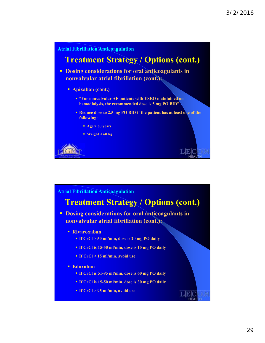

### **Treatment Strategy / Options (cont.)**

**- Dosing considerations for oral anticoagulants in nonvalvular atrial fibrillation (cont.):** 

- **Rivaroxaban**
	- **If CrCl > 50 ml/min, dose is 20 mg PO daily**
	- **If CrCl is 15-50 ml/min, dose is 15 mg PO daily**
	- **If CrCl < 15 ml/min, avoid use**
- **Edoxaban**
	- **If CrCl is 51-95 ml/min, dose is 60 mg PO daily**
	- **If CrCl is 15-50 ml/min, dose is 30 mg PO daily**
	- **If CrCl > 95 ml/min, avoid use**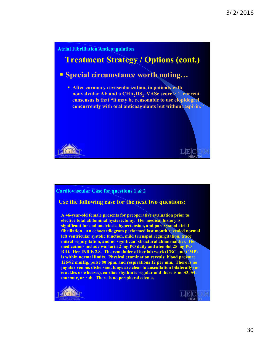# **Atrial Fibrillation Anticoagulation Treatment Strategy / Options (cont.) Special circumstance worth noting… After coronary revascularization, in patients with nonvalvular AF and a CHA<sub>2</sub>DS<sub>2</sub>-VASc score > 1, current consensus is that "it may be reasonable to use clopidogrel concurrently with oral anticoagulants but without aspirin."** EK I N

#### **Cardiovascular Case for questions 1 & 2**

#### **Use the following case for the next two questions:**

**A 46-year-old female presents for preoperative evaluation prior to elective total abdominal hysterectomy. Her medical history is significant for endometriosis, hypertension, and paroxysmal atrial fibrillation. An echocardiogram performed last month revealed normal left ventricular systolic function, mild tricuspid regurgitation, trace mitral regurgitation, and no significant structural abnormalities. Her medications include warfarin 2 mg PO daily and atenolol 25 mg PO BID. Her INR is 2.8. The remainder of her lab work (CBC and CMP) is within normal limits. Physical examination reveals: blood pressure 126/82 mmHg, pulse 80 bpm, and respirations 12 per min. There is no jugular venous distension, lungs are clear to auscultation bilaterally (no crackles or wheezes), cardiac rhythm is regular and there is no S3, S4, murmur, or rub. There is no peripheral edema.** 

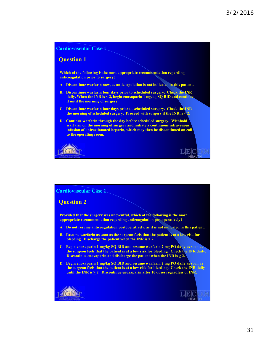

#### **Cardiovascular Case 1**

#### **Question 2**

**Provided that the surgery was uneventful, which of the following is the most appropriate recommendation regarding anticoagulation postoperatively?**

- **A. Do not resume anticoagulation postoperatively, as it is not indicated in this patient.**
- **B. Resume warfarin as soon as the surgeon feels that the patient is at a low risk for bleeding. Discharge the patient when the INR is > 2.**
- **C. Begin enoxaparin 1 mg/kg SQ BID and resume warfarin 2 mg PO daily as soon as the surgeon feels that the patient is at a low risk for bleeding. Check the INR daily. Discontinue enoxaparin and discharge the patient when the INR is**  $\geq 2$ **.**
- **D. Begin enoxaparin 1 mg/kg SQ BID and resume warfarin 2 mg PO daily as soon as the surgeon feels that the patient is at a low risk for bleeding. Check the INR daily**  until the INR is  $\geq 2$ . Discontinue enoxaparin after 10 doses regardless of INR.

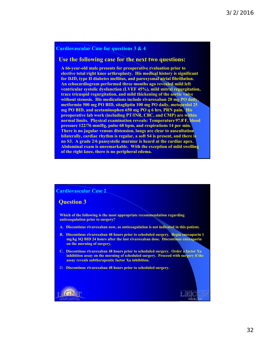#### **Cardiovascular Case for questions 3 & 4**

#### **Use the following case for the next two questions:**

**A 66-year-old male presents for preoperative evaluation prior to elective total right knee arthroplasty. His medical history is significant for DJD, type II diabetes mellitus, and paroxysmal atrial fibrillation. An echocardiogram performed three months ago revealed mild left ventricular systolic dysfunction (LVEF 45%), mild mitral regurgitation, trace tricuspid regurgitation, and mild thickening of the aortic valve without stenosis. His medications include rivaroxaban 20 mg PO daily, metformin 500 mg PO BID, sitagliptin 100 mg PO daily, metoprolol 25 mg PO BID, and acetaminophen 650 mg PO q 6 hrs. PRN pain. His preoperative lab work (including PT/INR, CBC, and CMP) are within normal limits. Physical examination reveals: Temperature 97.8̊ F, blood pressure 122/76 mmHg, pulse 68 bpm, and respirations 14 per min. There is no jugular venous distension, lungs are clear to auscultation bilaterally, cardiac rhythm is regular, a soft S4 is present, and there is no S3. A grade 2/6 pansystolic murmur is heard at the cardiac apex. Abdominal exam is unremarkable. With the exception of mild swelling of the right knee, there is no peripheral edema.** 

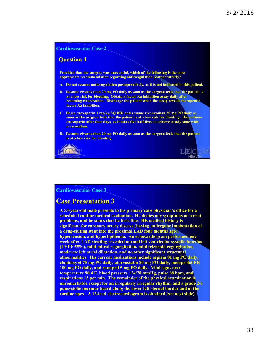

#### **Cardiovascular Case 3**

#### **Case Presentation 3**

**A 53-year-old male presents to his primary care physician's office for a scheduled routine medical evaluation. He denies any symptoms or recent problems, and he states that he feels fine. His medical history is significant for coronary artery disease (having undergone implantation of a drug-eluting stent into the proximal LAD four months ago), hypertension, and hyperlipidemia. An echocardiogram performed one week after LAD stenting revealed normal left ventricular systolic function (LVEF 55%), mild mitral regurgitation, mild tricuspid regurgitation, moderate left atrial dilatation, and no other significant structural abnormalities. His current medications include aspirin 81 mg PO daily, clopidogrel 75 mg PO daily, atorvastatin 80 mg PO daily, metoprolol ER 100 mg PO daily, and ramipril 5 mg PO daily. Vital signs are: temperature 98.4 F, blood pressure 124/78 mmHg, pulse 68 bpm, and ̊ respirations 12 per min. The remainder of the physical examination is unremarkable except for an irregularly irregular rhythm, and a grade 2/6 pansystolic murmur heard along the lower left sternal border and at the cardiac apex. A 12-lead electrocardiogram is obtained (see next slide).**